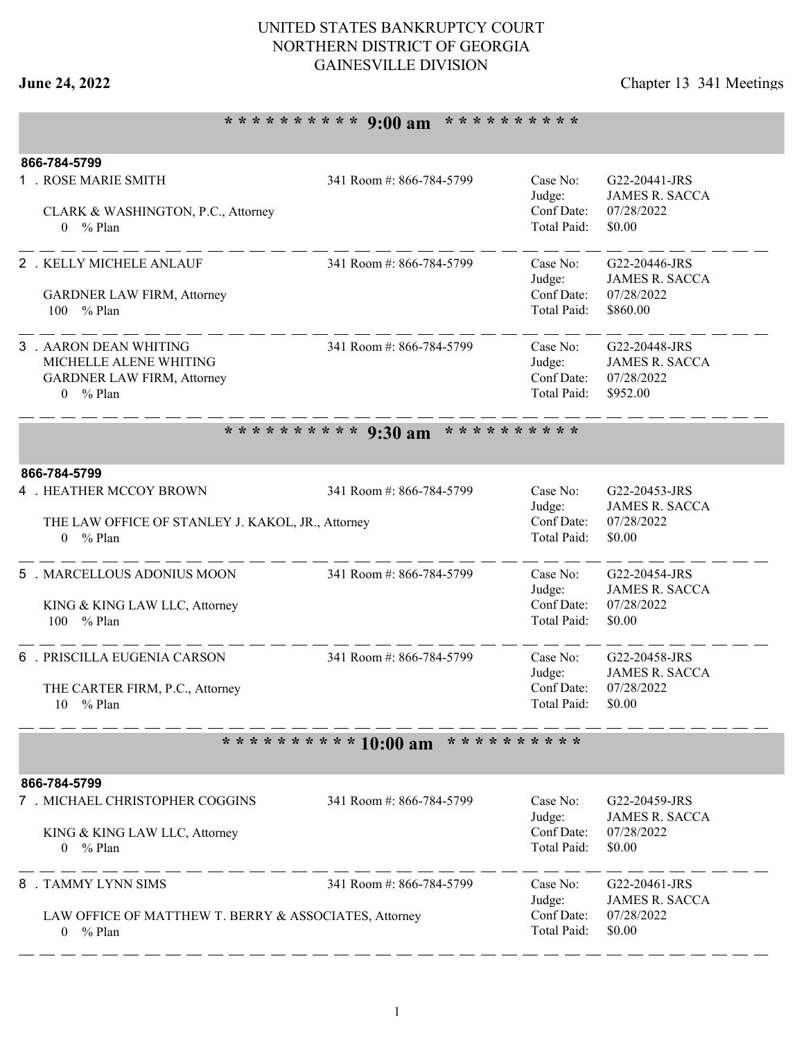## UNITED STATES BANKRUPTCY COURT NORTHERN DISTRICT OF GEORGIA GAINESVILLE DIVISION

# **June 24, 2022** Chapter 13 341 Meetings

# **\* \* \* \* \* \* \* \* \* \* 9:00 am \* \* \* \* \* \* \* \* \* \***

| 866-784-5799                                          |                          |                                  |                       |  |
|-------------------------------------------------------|--------------------------|----------------------------------|-----------------------|--|
| 1 . ROSE MARIE SMITH                                  | 341 Room #: 866-784-5799 | Case No:                         | G22-20441-JRS         |  |
|                                                       |                          | Judge:                           | <b>JAMES R. SACCA</b> |  |
| CLARK & WASHINGTON, P.C., Attorney                    |                          | Conf Date:<br>Total Paid:        | 07/28/2022            |  |
| $0 \frac{9}{6}$ Plan                                  |                          |                                  | \$0.00                |  |
| 2 . KELLY MICHELE ANLAUF                              | 341 Room #: 866-784-5799 | Case No:                         | G22-20446-JRS         |  |
|                                                       |                          | Judge:                           | <b>JAMES R. SACCA</b> |  |
| GARDNER LAW FIRM, Attorney                            |                          | Conf Date:                       | 07/28/2022            |  |
| 100 % Plan                                            |                          | Total Paid:                      | \$860.00              |  |
|                                                       |                          |                                  |                       |  |
| 3 . AARON DEAN WHITING                                | 341 Room #: 866-784-5799 | Case No:                         | G22-20448-JRS         |  |
| MICHELLE ALENE WHITING                                |                          | Judge:                           | <b>JAMES R. SACCA</b> |  |
| <b>GARDNER LAW FIRM, Attorney</b>                     |                          | Conf Date:<br><b>Total Paid:</b> | 07/28/2022            |  |
| $0 \frac{9}{6}$ Plan                                  |                          |                                  | \$952.00              |  |
|                                                       | ********** 9:30 am       | * * * * * * * * * *              |                       |  |
|                                                       |                          |                                  |                       |  |
| 866-784-5799<br><b>4 . HEATHER MCCOY BROWN</b>        | 341 Room #: 866-784-5799 | Case No:                         | G22-20453-JRS         |  |
|                                                       |                          | Judge:                           | <b>JAMES R. SACCA</b> |  |
| THE LAW OFFICE OF STANLEY J. KAKOL, JR., Attorney     |                          | Conf Date:                       | 07/28/2022            |  |
| $0 \frac{9}{6}$ Plan                                  |                          | Total Paid:                      | \$0.00                |  |
|                                                       |                          |                                  |                       |  |
| 5 . MARCELLOUS ADONIUS MOON                           | 341 Room #: 866-784-5799 | Case No:                         | G22-20454-JRS         |  |
|                                                       |                          | Judge:                           | <b>JAMES R. SACCA</b> |  |
| KING & KING LAW LLC, Attorney                         |                          | Conf Date:                       | 07/28/2022            |  |
| 100<br>% Plan                                         |                          | Total Paid:                      | \$0.00                |  |
| 6 . PRISCILLA EUGENIA CARSON                          | 341 Room #: 866-784-5799 | Case No:                         | G22-20458-JRS         |  |
|                                                       |                          | Judge:                           | <b>JAMES R. SACCA</b> |  |
| THE CARTER FIRM, P.C., Attorney                       |                          | Conf Date:                       | 07/28/2022            |  |
| 10 % Plan                                             |                          | Total Paid:                      | \$0.00                |  |
|                                                       |                          |                                  |                       |  |
|                                                       | ********** 10:00 am      | * * * * * * * * * *              |                       |  |
| 866-784-5799                                          |                          |                                  |                       |  |
| 7 . MICHAEL CHRISTOPHER COGGINS                       | 341 Room #: 866-784-5799 | Case No:                         | G22-20459-JRS         |  |
|                                                       |                          | Judge:                           | <b>JAMES R. SACCA</b> |  |
| KING & KING LAW LLC, Attorney                         |                          | Conf Date:                       | 07/28/2022            |  |
| $0 \frac{9}{6}$ Plan                                  |                          | Total Paid:                      | \$0.00                |  |
| 8 . TAMMY LYNN SIMS                                   | 341 Room #: 866-784-5799 | Case No:                         | G22-20461-JRS         |  |
|                                                       |                          | Judge:                           | <b>JAMES R. SACCA</b> |  |
| LAW OFFICE OF MATTHEW T. BERRY & ASSOCIATES, Attorney |                          | Conf Date:                       | 07/28/2022            |  |
| $0 \frac{9}{6}$ Plan                                  |                          | Total Paid:                      | \$0.00                |  |
|                                                       |                          |                                  |                       |  |